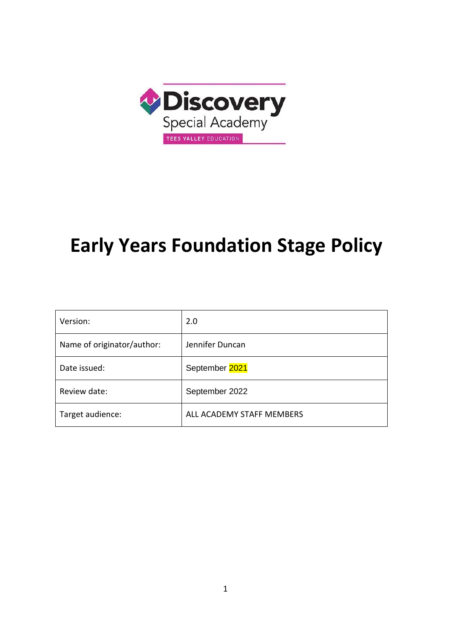

# **Early Years Foundation Stage Policy**

| Version:                   | 2.0                       |
|----------------------------|---------------------------|
| Name of originator/author: | Jennifer Duncan           |
| Date issued:               | September 2021            |
| Review date:               | September 2022            |
| Target audience:           | ALL ACADEMY STAFF MEMBERS |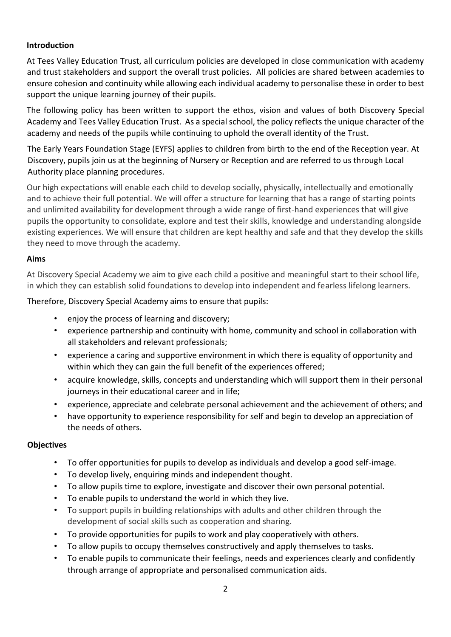## **Introduction**

At Tees Valley Education Trust, all curriculum policies are developed in close communication with academy and trust stakeholders and support the overall trust policies. All policies are shared between academies to ensure cohesion and continuity while allowing each individual academy to personalise these in order to best support the unique learning journey of their pupils.

The following policy has been written to support the ethos, vision and values of both Discovery Special Academy and Tees Valley Education Trust. As a special school, the policy reflects the unique character of the academy and needs of the pupils while continuing to uphold the overall identity of the Trust.

The Early Years Foundation Stage (EYFS) applies to children from birth to the end of the Reception year. At Discovery, pupils join us at the beginning of Nursery or Reception and are referred to us through Local Authority place planning procedures.

Our high expectations will enable each child to develop socially, physically, intellectually and emotionally and to achieve their full potential. We will offer a structure for learning that has a range of starting points and unlimited availability for development through a wide range of first-hand experiences that will give pupils the opportunity to consolidate, explore and test their skills, knowledge and understanding alongside existing experiences. We will ensure that children are kept healthy and safe and that they develop the skills they need to move through the academy.

#### **Aims**

At Discovery Special Academy we aim to give each child a positive and meaningful start to their school life, in which they can establish solid foundations to develop into independent and fearless lifelong learners.

Therefore, Discovery Special Academy aims to ensure that pupils:

- enjoy the process of learning and discovery;
- experience partnership and continuity with home, community and school in collaboration with all stakeholders and relevant professionals;
- experience a caring and supportive environment in which there is equality of opportunity and within which they can gain the full benefit of the experiences offered;
- acquire knowledge, skills, concepts and understanding which will support them in their personal journeys in their educational career and in life;
- experience, appreciate and celebrate personal achievement and the achievement of others; and
- have opportunity to experience responsibility for self and begin to develop an appreciation of the needs of others.

## **Objectives**

- To offer opportunities for pupils to develop as individuals and develop a good self-image.
- To develop lively, enquiring minds and independent thought.
- To allow pupils time to explore, investigate and discover their own personal potential.
- To enable pupils to understand the world in which they live.
- To support pupils in building relationships with adults and other children through the development of social skills such as cooperation and sharing.
- To provide opportunities for pupils to work and play cooperatively with others.
- To allow pupils to occupy themselves constructively and apply themselves to tasks.
- To enable pupils to communicate their feelings, needs and experiences clearly and confidently through arrange of appropriate and personalised communication aids.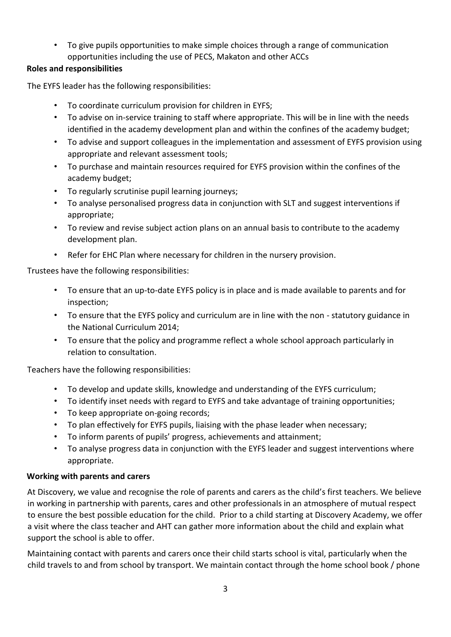• To give pupils opportunities to make simple choices through a range of communication opportunities including the use of PECS, Makaton and other ACCs

# **Roles and responsibilities**

The EYFS leader has the following responsibilities:

- To coordinate curriculum provision for children in EYFS;
- To advise on in-service training to staff where appropriate. This will be in line with the needs identified in the academy development plan and within the confines of the academy budget;
- To advise and support colleagues in the implementation and assessment of EYFS provision using appropriate and relevant assessment tools;
- To purchase and maintain resources required for EYFS provision within the confines of the academy budget;
- To regularly scrutinise pupil learning journeys;
- To analyse personalised progress data in conjunction with SLT and suggest interventions if appropriate;
- To review and revise subject action plans on an annual basis to contribute to the academy development plan.
- Refer for EHC Plan where necessary for children in the nursery provision.

Trustees have the following responsibilities:

- To ensure that an up-to-date EYFS policy is in place and is made available to parents and for inspection;
- To ensure that the EYFS policy and curriculum are in line with the non statutory guidance in the National Curriculum 2014;
- To ensure that the policy and programme reflect a whole school approach particularly in relation to consultation.

Teachers have the following responsibilities:

- To develop and update skills, knowledge and understanding of the EYFS curriculum;
- To identify inset needs with regard to EYFS and take advantage of training opportunities;
- To keep appropriate on-going records;
- To plan effectively for EYFS pupils, liaising with the phase leader when necessary;
- To inform parents of pupils' progress, achievements and attainment;
- To analyse progress data in conjunction with the EYFS leader and suggest interventions where appropriate.

## **Working with parents and carers**

At Discovery, we value and recognise the role of parents and carers as the child's first teachers. We believe in working in partnership with parents, cares and other professionals in an atmosphere of mutual respect to ensure the best possible education for the child. Prior to a child starting at Discovery Academy, we offer a visit where the class teacher and AHT can gather more information about the child and explain what support the school is able to offer.

Maintaining contact with parents and carers once their child starts school is vital, particularly when the child travels to and from school by transport. We maintain contact through the home school book / phone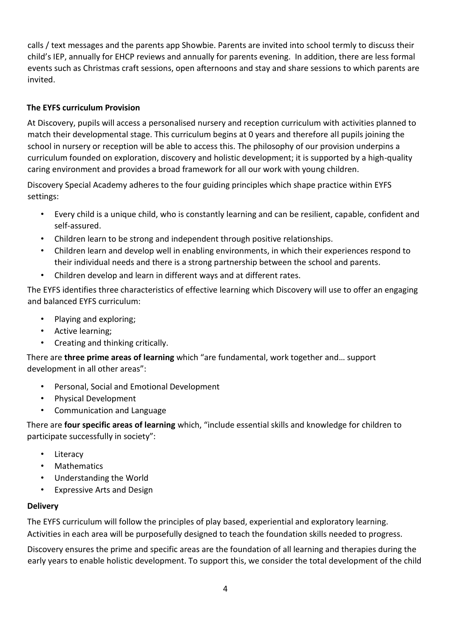calls / text messages and the parents app Showbie. Parents are invited into school termly to discuss their child's IEP, annually for EHCP reviews and annually for parents evening. In addition, there are less formal events such as Christmas craft sessions, open afternoons and stay and share sessions to which parents are invited.

# **The EYFS curriculum Provision**

At Discovery, pupils will access a personalised nursery and reception curriculum with activities planned to match their developmental stage. This curriculum begins at 0 years and therefore all pupils joining the school in nursery or reception will be able to access this. The philosophy of our provision underpins a curriculum founded on exploration, discovery and holistic development; it is supported by a high-quality caring environment and provides a broad framework for all our work with young children.

Discovery Special Academy adheres to the four guiding principles which shape practice within EYFS settings:

- Every child is a unique child, who is constantly learning and can be resilient, capable, confident and self-assured.
- Children learn to be strong and independent through positive relationships.
- Children learn and develop well in enabling environments, in which their experiences respond to their individual needs and there is a strong partnership between the school and parents.
- Children develop and learn in different ways and at different rates.

The EYFS identifies three characteristics of effective learning which Discovery will use to offer an engaging and balanced EYFS curriculum:

- Playing and exploring;
- Active learning;
- Creating and thinking critically.

There are **three prime areas of learning** which "are fundamental, work together and… support development in all other areas":

- Personal, Social and Emotional Development
- Physical Development
- Communication and Language

There are **four specific areas of learning** which, "include essential skills and knowledge for children to participate successfully in society":

- Literacy
- Mathematics
- Understanding the World
- Expressive Arts and Design

## **Delivery**

The EYFS curriculum will follow the principles of play based, experiential and exploratory learning. Activities in each area will be purposefully designed to teach the foundation skills needed to progress.

Discovery ensures the prime and specific areas are the foundation of all learning and therapies during the early years to enable holistic development. To support this, we consider the total development of the child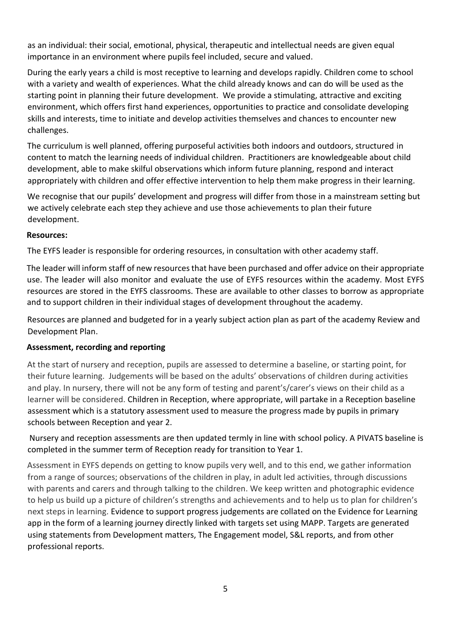as an individual: their social, emotional, physical, therapeutic and intellectual needs are given equal importance in an environment where pupils feel included, secure and valued.

During the early years a child is most receptive to learning and develops rapidly. Children come to school with a variety and wealth of experiences. What the child already knows and can do will be used as the starting point in planning their future development. We provide a stimulating, attractive and exciting environment, which offers first hand experiences, opportunities to practice and consolidate developing skills and interests, time to initiate and develop activities themselves and chances to encounter new challenges.

The curriculum is well planned, offering purposeful activities both indoors and outdoors, structured in content to match the learning needs of individual children. Practitioners are knowledgeable about child development, able to make skilful observations which inform future planning, respond and interact appropriately with children and offer effective intervention to help them make progress in their learning.

We recognise that our pupils' development and progress will differ from those in a mainstream setting but we actively celebrate each step they achieve and use those achievements to plan their future development.

#### **Resources:**

The EYFS leader is responsible for ordering resources, in consultation with other academy staff.

The leader will inform staff of new resources that have been purchased and offer advice on their appropriate use. The leader will also monitor and evaluate the use of EYFS resources within the academy. Most EYFS resources are stored in the EYFS classrooms. These are available to other classes to borrow as appropriate and to support children in their individual stages of development throughout the academy.

Resources are planned and budgeted for in a yearly subject action plan as part of the academy Review and Development Plan.

## **Assessment, recording and reporting**

At the start of nursery and reception, pupils are assessed to determine a baseline, or starting point, for their future learning. Judgements will be based on the adults' observations of children during activities and play. In nursery, there will not be any form of testing and parent's/carer's views on their child as a learner will be considered. Children in Reception, where appropriate, will partake in a Reception baseline assessment which is a statutory assessment used to measure the progress made by pupils in primary schools between Reception and year 2.

Nursery and reception assessments are then updated termly in line with school policy. A PIVATS baseline is completed in the summer term of Reception ready for transition to Year 1.

Assessment in EYFS depends on getting to know pupils very well, and to this end, we gather information from a range of sources; observations of the children in play, in adult led activities, through discussions with parents and carers and through talking to the children. We keep written and photographic evidence to help us build up a picture of children's strengths and achievements and to help us to plan for children's next steps in learning. Evidence to support progress judgements are collated on the Evidence for Learning app in the form of a learning journey directly linked with targets set using MAPP. Targets are generated using statements from Development matters, The Engagement model, S&L reports, and from other professional reports.